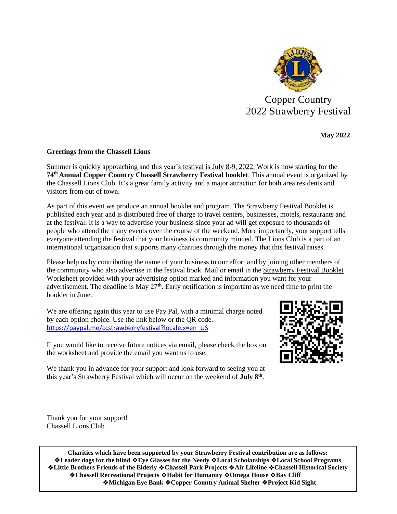

Copper Country 2022 Strawberry Festival

**May 2022**

## **Greetings from the Chassell Lions**

Summer is quickly approaching and this year's festival is July 8-9, 2022. Work is now starting for the **74 th Annual Copper Country Chassell Strawberry Festival booklet**. This annual event is organized by the Chassell Lions Club. It's a great family activity and a major attraction for both area residents and visitors from out of town.

As part of this event we produce an annual booklet and program. The Strawberry Festival Booklet is published each year and is distributed free of charge to travel centers, businesses, motels, restaurants and at the festival. It is a way to advertise your business since your ad will get exposure to thousands of people who attend the many events over the course of the weekend. More importantly, your support tells everyone attending the festival that your business is community minded. The Lions Club is a part of an international organization that supports many charities through the money that this festival raises.

Please help us by contributing the name of your business to our effort and by joining other members of the community who also advertise in the festival book. Mail or email in the Strawberry Festival Booklet Worksheet provided with your advertising option marked and information you want for your advertisement. The deadline is May 27 **th**. Early notification is important as we need time to print the booklet in June.

We are offering again this year to use Pay Pal, with a minimal charge noted by each option choice. Use the link below or the QR code. [https://paypal.me/ccstrawberryfestival?locale.x=en\\_US](https://paypal.me/ccstrawberryfestival?locale.x=en_US) 



If you would like to receive future notices via email, please check the box on the worksheet and provide the email you want us to use.

We thank you in advance for your support and look forward to seeing you at this year's Strawberry Festival which will occur on the weekend of July 8<sup>th</sup>.

Thank you for your support! Chassell Lions Club

**Charities which have been supported by your Strawberry Festival contribution are as follows:** ❖**Leader dogs for the blind** ❖**Eye Glasses for the Needy** ❖**Local Scholarships** ❖**Local School Programs** ❖**Little Brothers Friends of the Elderly** ❖**Chassell Park Projects** ❖**Air Lifeline** ❖**Chassell Historical Society** ❖**Chassell Recreational Projects** ❖**Habit for Humanity** ❖**Omega House** ❖**Bay Cliff** ❖**Michigan Eye Bank** ❖**Copper Country Animal Shelter** ❖**Project Kid Sight**